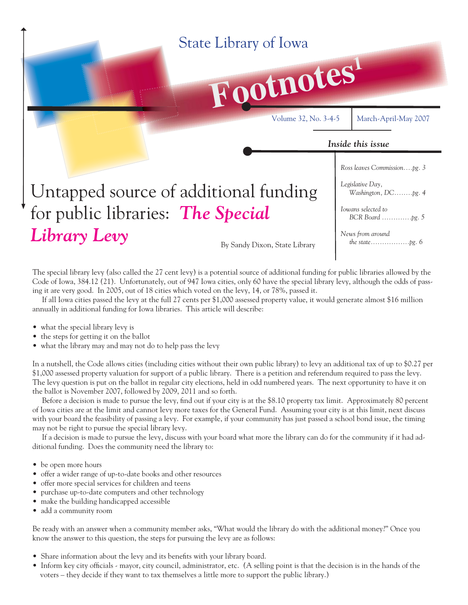

The special library levy (also called the 27 cent levy) is a potential source of additional funding for public libraries allowed by the Code of Iowa, 384.12 (21). Unfortunately, out of 947 Iowa cities, only 60 have the special library levy, although the odds of passing it are very good. In 2005, out of 18 cities which voted on the levy, 14, or 78%, passed it.

 If all Iowa cities passed the levy at the full 27 cents per \$1,000 assessed property value, it would generate almost \$16 million annually in additional funding for Iowa libraries. This article will describe:

- what the special library levy is
- the steps for getting it on the ballot
- what the library may and may not do to help pass the levy

In a nutshell, the Code allows cities (including cities without their own public library) to levy an additional tax of up to \$0.27 per \$1,000 assessed property valuation for support of a public library. There is a petition and referendum required to pass the levy. The levy question is put on the ballot in regular city elections, held in odd numbered years. The next opportunity to have it on the ballot is November 2007, followed by 2009, 2011 and so forth.

Before a decision is made to pursue the levy, find out if your city is at the \$8.10 property tax limit. Approximately 80 percent of Iowa cities are at the limit and cannot levy more taxes for the General Fund. Assuming your city is at this limit, next discuss with your board the feasibility of passing a levy. For example, if your community has just passed a school bond issue, the timing may not be right to pursue the special library levy.

 If a decision is made to pursue the levy, discuss with your board what more the library can do for the community if it had additional funding. Does the community need the library to:

- be open more hours
- offer a wider range of up-to-date books and other resources
- offer more special services for children and teens
- purchase up-to-date computers and other technology
- make the building handicapped accessible
- add a community room

Be ready with an answer when a community member asks, "What would the library do with the additional money?" Once you know the answer to this question, the steps for pursuing the levy are as follows:

- Share information about the levy and its benefits with your library board.
- Inform key city officials mayor, city council, administrator, etc. (A selling point is that the decision is in the hands of the voters – they decide if they want to tax themselves a little more to support the public library.)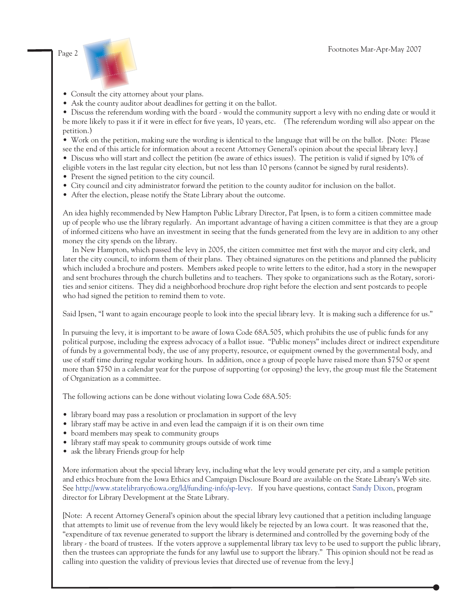

• Consult the city attorney about your plans.

• Ask the county auditor about deadlines for getting it on the ballot.

• Discuss the referendum wording with the board - would the community support a levy with no ending date or would it be more likely to pass it if it were in effect for five years, 10 years, etc. (The referendum wording will also appear on the petition.)

• Work on the petition, making sure the wording is identical to the language that will be on the ballot. [Note: Please

see the end of this article for information about a recent Attorney General's opinion about the special library levy.] • Discuss who will start and collect the petition (be aware of ethics issues). The petition is valid if signed by 10% of

eligible voters in the last regular city election, but not less than 10 persons (cannot be signed by rural residents).

- Present the signed petition to the city council.
- City council and city administrator forward the petition to the county auditor for inclusion on the ballot.
- After the election, please notify the State Library about the outcome.

An idea highly recommended by New Hampton Public Library Director, Pat Ipsen, is to form a citizen committee made up of people who use the library regularly. An important advantage of having a citizen committee is that they are a group of informed citizens who have an investment in seeing that the funds generated from the levy are in addition to any other money the city spends on the library.

In New Hampton, which passed the levy in 2005, the citizen committee met first with the mayor and city clerk, and later the city council, to inform them of their plans. They obtained signatures on the petitions and planned the publicity which included a brochure and posters. Members asked people to write letters to the editor, had a story in the newspaper and sent brochures through the church bulletins and to teachers. They spoke to organizations such as the Rotary, sororities and senior citizens. They did a neighborhood brochure drop right before the election and sent postcards to people who had signed the petition to remind them to vote.

Said Ipsen, "I want to again encourage people to look into the special library levy. It is making such a difference for us."

In pursuing the levy, it is important to be aware of Iowa Code 68A.505, which prohibits the use of public funds for any political purpose, including the express advocacy of a ballot issue. "Public moneys" includes direct or indirect expenditure of funds by a governmental body, the use of any property, resource, or equipment owned by the governmental body, and use of staff time during regular working hours. In addition, once a group of people have raised more than \$750 or spent more than \$750 in a calendar year for the purpose of supporting (or opposing) the levy, the group must file the Statement of Organization as a committee.

The following actions can be done without violating Iowa Code 68A.505:

- library board may pass a resolution or proclamation in support of the levy
- library staff may be active in and even lead the campaign if it is on their own time
- board members may speak to community groups
- library staff may speak to community groups outside of work time
- ask the library Friends group for help

More information about the special library levy, including what the levy would generate per city, and a sample petition and ethics brochure from the Iowa Ethics and Campaign Disclosure Board are available on the State Library's Web site. See http://www.statelibraryofiowa.org/ld/funding-info/sp-levy. If you have questions, contact [Sandy Dixon,](mailto:sandy.dixon@lib.state.ia.us) program director for Library Development at the State Library.

[Note: A recent Attorney General's opinion about the special library levy cautioned that a petition including language that attempts to limit use of revenue from the levy would likely be rejected by an Iowa court. It was reasoned that the, "expenditure of tax revenue generated to support the library is determined and controlled by the governing body of the library - the board of trustees. If the voters approve a supplemental library tax levy to be used to support the public library, then the trustees can appropriate the funds for any lawful use to support the library." This opinion should not be read as calling into question the validity of previous levies that directed use of revenue from the levy.]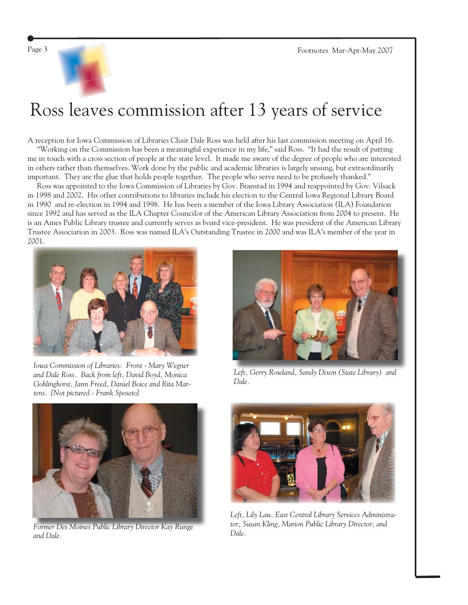

## Ross leaves commission after 13 years of service

A reception for Iowa Commission of Libraries Chair Dale Ross was held after his last commission meeting on April 16. "Working on the Commission has been a meaningful experience in my life," said Ross. "It had the result of putting me in touch with a cross section of people at the state level. It made me aware of the degree of people who are interested in others rather than themselves. Work done by the public and academic libraries is largely unsung, but extraordinarily important. They are the glue that holds people together. The people who serve need to be profusely thanked."

 Ross was appointed to the Iowa Commission of Libraries by Gov. Branstad in 1994 and reappointed by Gov. Vilsack in 1998 and 2002. His other contributions to libraries include his election to the Central Iowa Regional Library Board in 1990 and re-election in 1994 and 1998. He has been a member of the Iowa Library Association (ILA) Foundation since 1992 and has served as the ILA Chapter Councilor of the American Library Association from 2004 to present. He is an Ames Public Library trustee and currently serves as board vice-president. He was president of the American Library Trustee Association in 2003. Ross was named ILA's Outstanding Trustee in 2000 and was ILA's member of the year in 2001.



*Iowa Commission of Libraries: Front - Mary Wegner and Dale Ross. Back from left, David Boyd, Monica Gohlinghorst, Jann Freed, Daniel Boice and Rita Martens. [Not pictured - Frank Sposeto]*



*Former Des Moines Public Library Director Kay Runge and Dale.*



*Left, Gerry Rowland, Sandy Dixon (State Library) and Dale.*



*Left, Lily Lau, East Central Library Services Administrator; Susan Kling, Marion Public Library Director; and Dale.*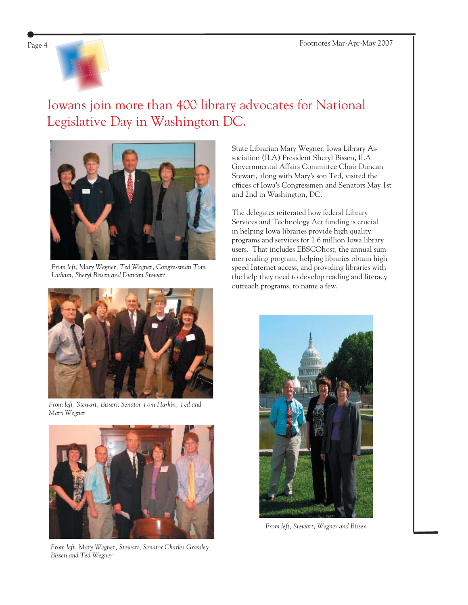

### Iowans join more than 400 library advocates for National Legislative Day in Washington DC.



*From left, Mary Wegner, Ted Wegner, Congressman Tom Latham, Sheryl Bissen and Duncan Stewart*



*From left, Stewart, Bissen, Senator Tom Harkin, Ted and Mary Wegner*



*From left, Mary Wegner, Stewart, Senator Charles Grassley, Bissen and Ted Wegner*

State Librarian Mary Wegner, Iowa Library Association (ILA) President Sheryl Bissen, ILA Governmental Affairs Committee Chair Duncan Stewart, along with Mary's son Ted, visited the offices of Iowa's Congressmen and Senators May 1st and 2nd in Washington, DC.

The delegates reiterated how federal Library Services and Technology Act funding is crucial in helping Iowa libraries provide high quality programs and services for 1.6 million Iowa library users. That includes EBSCOhost, the annual summer reading program, helping libraries obtain high speed Internet access, and providing libraries with the help they need to develop reading and literacy outreach programs, to name a few.



*From left, Stewart, Wegner and Bissen*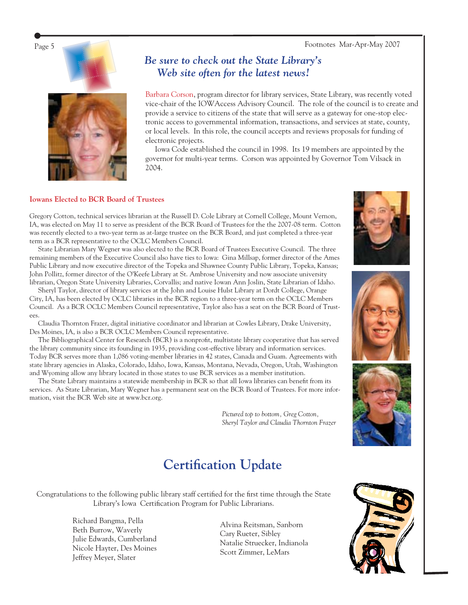Page 5 Footnotes Mar-Apr-May 2007





#### *Be sure to check out the State Library's Web site often for the latest news!*

Barbara Corson, program director for library services, State Library, was recently voted vice-chair of the IOWAccess Advisory Council. The role of the council is to create and provide a service to citizens of the state that will serve as a gateway for one-stop electronic access to governmental information, transactions, and services at state, county, or local levels. In this role, the council accepts and reviews proposals for funding of electronic projects.

 Iowa Code established the council in 1998. Its 19 members are appointed by the governor for multi-year terms. Corson was appointed by Governor Tom Vilsack in 2004.

#### **Iowans Elected to BCR Board of Trustees**

Gregory Cotton, technical services librarian at the Russell D. Cole Library at Cornell College, Mount Vernon, IA, was elected on May 11 to serve as president of the BCR Board of Trustees for the the 2007-08 term. Cotton was recently elected to a two-year term as at-large trustee on the BCR Board, and just completed a three-year term as a BCR representative to the OCLC Members Council.

 State Librarian Mary Wegner was also elected to the BCR Board of Trustees Executive Council. The three remaining members of the Executive Council also have ties to Iowa: Gina Millsap, former director of the Ames Public Library and now executive director of the Topeka and Shawnee County Public Library, Topeka, Kansas; John Pollitz, former director of the O'Keefe Library at St. Ambrose University and now associate university librarian, Oregon State University Libraries, Corvallis; and native Iowan Ann Joslin, State Librarian of Idaho.

 Sheryl Taylor, director of library services at the John and Louise Hulst Library at Dordt College, Orange City, IA, has been elected by OCLC libraries in the BCR region to a three-year term on the OCLC Members Council. As a BCR OCLC Members Council representative, Taylor also has a seat on the BCR Board of Trustees.

 Claudia Thornton Frazer, digital initiative coordinator and librarian at Cowles Library, Drake University, Des Moines, IA, is also a BCR OCLC Members Council representative.

The Bibliographical Center for Research (BCR) is a nonprofit, multistate library cooperative that has served the library community since its founding in 1935, providing cost-effective library and information services. Today BCR serves more than 1,086 voting-member libraries in 42 states, Canada and Guam. Agreements with state library agencies in Alaska, Colorado, Idaho, Iowa, Kansas, Montana, Nevada, Oregon, Utah, Washington and Wyoming allow any library located in those states to use BCR services as a member institution.

The State Library maintains a statewide membership in BCR so that all Iowa libraries can benefit from its services. As State Librarian, Mary Wegner has a permanent seat on the BCR Board of Trustees. For more information, visit the BCR Web site at [www.bcr.org.](http://www.bcr.org)

> *Pictured top to bottom, Greg Cotton, Sheryl Taylor and Claudia Thornton Frazer*

## **Certification Update**

Congratulations to the following public library staff certified for the first time through the State Library's Iowa Certification Program for Public Librarians.

> Richard Bangma, Pella Beth Burrow, Waverly Julie Edwards, Cumberland Nicole Hayter, Des Moines Jeffrey Meyer, Slater

Alvina Reitsman, Sanborn Cary Rueter, Sibley Natalie Struecker, Indianola Scott Zimmer, LeMars







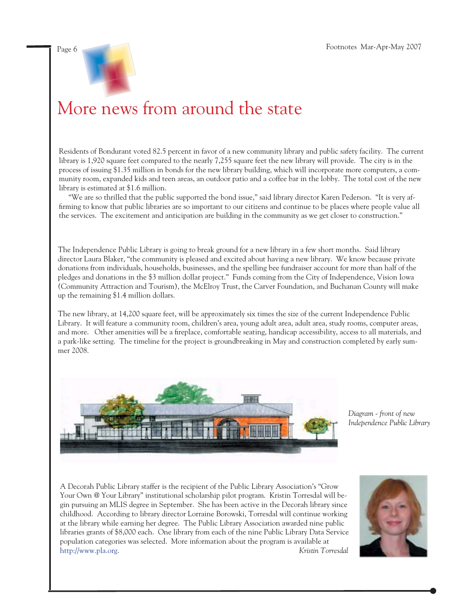

## More news from around the state

Residents of Bondurant voted 82.5 percent in favor of a new community library and public safety facility. The current library is 1,920 square feet compared to the nearly 7,255 square feet the new library will provide. The city is in the process of issuing \$1.35 million in bonds for the new library building, which will incorporate more computers, a community room, expanded kids and teen areas, an outdoor patio and a coffee bar in the lobby. The total cost of the new library is estimated at \$1.6 million.

 "We are so thrilled that the public supported the bond issue," said library director Karen Pederson. "It is very affirming to know that public libraries are so important to our citizens and continue to be places where people value all the services. The excitement and anticipation are building in the community as we get closer to construction."

The Independence Public Library is going to break ground for a new library in a few short months. Said library director Laura Blaker, "the community is pleased and excited about having a new library. We know because private donations from individuals, households, businesses, and the spelling bee fundraiser account for more than half of the pledges and donations in the \$3 million dollar project." Funds coming from the City of Independence, Vision Iowa (Community Attraction and Tourism), the McElroy Trust, the Carver Foundation, and Buchanan County will make up the remaining \$1.4 million dollars.

The new library, at 14,200 square feet, will be approximately six times the size of the current Independence Public Library. It will feature a community room, children's area, young adult area, adult area, study rooms, computer areas, and more. Other amenities will be a fireplace, comfortable seating, handicap accessibility, access to all materials, and a park-like setting. The timeline for the project is groundbreaking in May and construction completed by early summer 2008.



*Diagram - front of new Independence Public Library*

A Decorah Public Library staffer is the recipient of the Public Library Association's "Grow Your Own @ Your Library" institutional scholarship pilot program. Kristin Torresdal will begin pursuing an MLIS degree in September. She has been active in the Decorah library since childhood. According to library director Lorraine Borowski, Torresdal will continue working at the library while earning her degree. The Public Library Association awarded nine public libraries grants of \$8,000 each. One library from each of the nine Public Library Data Service population categories was selected. More information about the program is available at [http://www.pla.org.](http://www.pla.org) *Kristin Torresdal*

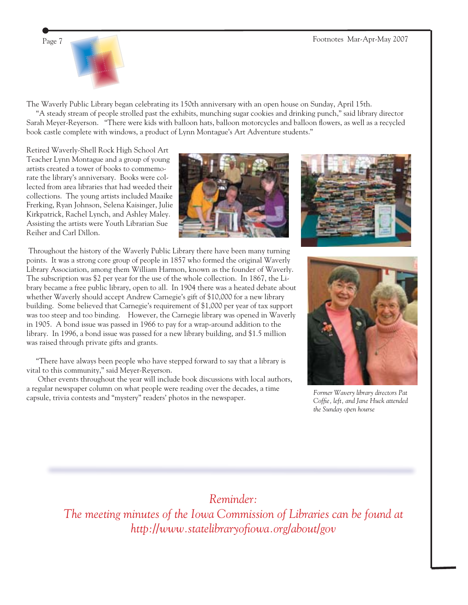

The Waverly Public Library began celebrating its 150th anniversary with an open house on Sunday, April 15th.

 "A steady stream of people strolled past the exhibits, munching sugar cookies and drinking punch," said library director Sarah Meyer-Reyerson. "There were kids with balloon hats, balloon motorcycles and balloon flowers, as well as a recycled book castle complete with windows, a product of Lynn Montague's Art Adventure students."

Retired Waverly-Shell Rock High School Art Teacher Lynn Montague and a group of young artists created a tower of books to commemorate the library's anniversary. Books were collected from area libraries that had weeded their collections. The young artists included Maaike Frerking, Ryan Johnson, Selena Kaisinger, Julie Kirkpatrick, Rachel Lynch, and Ashley Maley. Assisting the artists were Youth Librarian Sue Reiher and Carl Dillon.



 Throughout the history of the Waverly Public Library there have been many turning points. It was a strong core group of people in 1857 who formed the original Waverly Library Association, among them William Harmon, known as the founder of Waverly. The subscription was \$2 per year for the use of the whole collection. In 1867, the Library became a free public library, open to all. In 1904 there was a heated debate about whether Waverly should accept Andrew Carnegie's gift of \$10,000 for a new library building. Some believed that Carnegie's requirement of \$1,000 per year of tax support was too steep and too binding. However, the Carnegie library was opened in Waverly in 1905. A bond issue was passed in 1966 to pay for a wrap-around addition to the library. In 1996, a bond issue was passed for a new library building, and \$1.5 million was raised through private gifts and grants.

 "There have always been people who have stepped forward to say that a library is vital to this community," said Meyer-Reyerson.

 Other events throughout the year will include book discussions with local authors, a regular newspaper column on what people were reading over the decades, a time capsule, trivia contests and "mystery" readers' photos in the newspaper.



*Former Wavery library directors Pat*  Coffie, left, and Jane Huck attended *the Sunday open hourse*

#### *Reminder:*

*The meeting minutes of the Iowa Commission of Libraries can be found at http://www.statelibraryofi owa.org/about/gov*